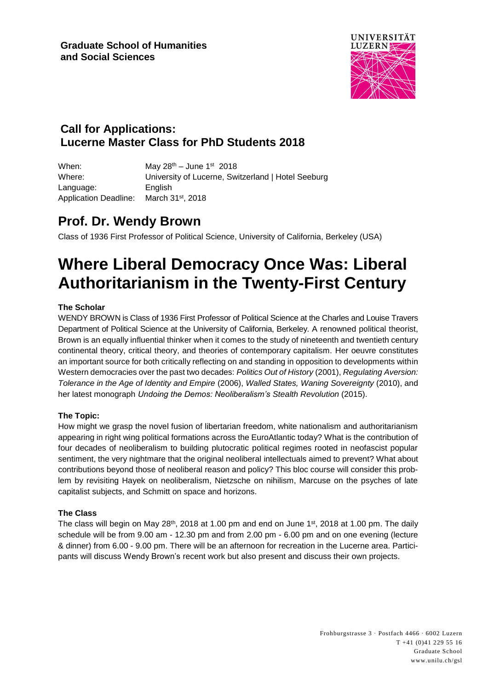

### **Call for Applications: Lucerne Master Class for PhD Students 2018**

When: May 28<sup>th</sup> – June 1st 2018 Where: University of Lucerne, Switzerland | Hotel Seeburg Language: English Application Deadline: March 31<sup>st</sup>, 2018

## **Prof. Dr. Wendy Brown**

Class of 1936 First Professor of Political Science, University of California, Berkeley (USA)

# **Where Liberal Democracy Once Was: Liberal Authoritarianism in the Twenty-First Century**

#### **The Scholar**

WENDY BROWN is Class of 1936 First Professor of Political Science at the Charles and Louise Travers Department of Political Science at the University of California, Berkeley. A renowned political theorist, Brown is an equally influential thinker when it comes to the study of nineteenth and twentieth century continental theory, critical theory, and theories of contemporary capitalism. Her oeuvre constitutes an important source for both critically reflecting on and standing in opposition to developments within Western democracies over the past two decades: *Politics Out of History* (2001), *Regulating Aversion: Tolerance in the Age of Identity and Empire* (2006), *Walled States, Waning Sovereignty* (2010), and her latest monograph *Undoing the Demos: Neoliberalism's Stealth Revolution* (2015).

#### **The Topic:**

How might we grasp the novel fusion of libertarian freedom, white nationalism and authoritarianism appearing in right wing political formations across the EuroAtlantic today? What is the contribution of four decades of neoliberalism to building plutocratic political regimes rooted in neofascist popular sentiment, the very nightmare that the original neoliberal intellectuals aimed to prevent? What about contributions beyond those of neoliberal reason and policy? This bloc course will consider this problem by revisiting Hayek on neoliberalism, Nietzsche on nihilism, Marcuse on the psyches of late capitalist subjects, and Schmitt on space and horizons.

#### **The Class**

The class will begin on May 28<sup>th</sup>, 2018 at 1.00 pm and end on June 1st, 2018 at 1.00 pm. The daily schedule will be from 9.00 am - 12.30 pm and from 2.00 pm - 6.00 pm and on one evening (lecture & dinner) from 6.00 - 9.00 pm. There will be an afternoon for recreation in the Lucerne area. Participants will discuss Wendy Brown's recent work but also present and discuss their own projects.